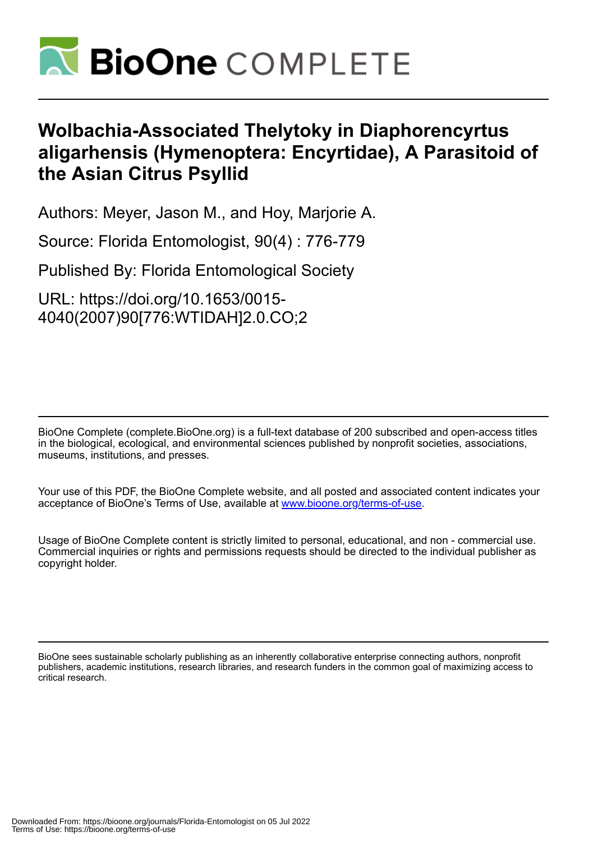

## **Wolbachia-Associated Thelytoky in Diaphorencyrtus aligarhensis (Hymenoptera: Encyrtidae), A Parasitoid of the Asian Citrus Psyllid**

Authors: Meyer, Jason M., and Hoy, Marjorie A.

Source: Florida Entomologist, 90(4) : 776-779

Published By: Florida Entomological Society

URL: https://doi.org/10.1653/0015- 4040(2007)90[776:WTIDAH]2.0.CO;2

BioOne Complete (complete.BioOne.org) is a full-text database of 200 subscribed and open-access titles in the biological, ecological, and environmental sciences published by nonprofit societies, associations, museums, institutions, and presses.

Your use of this PDF, the BioOne Complete website, and all posted and associated content indicates your acceptance of BioOne's Terms of Use, available at www.bioone.org/terms-of-use.

Usage of BioOne Complete content is strictly limited to personal, educational, and non - commercial use. Commercial inquiries or rights and permissions requests should be directed to the individual publisher as copyright holder.

BioOne sees sustainable scholarly publishing as an inherently collaborative enterprise connecting authors, nonprofit publishers, academic institutions, research libraries, and research funders in the common goal of maximizing access to critical research.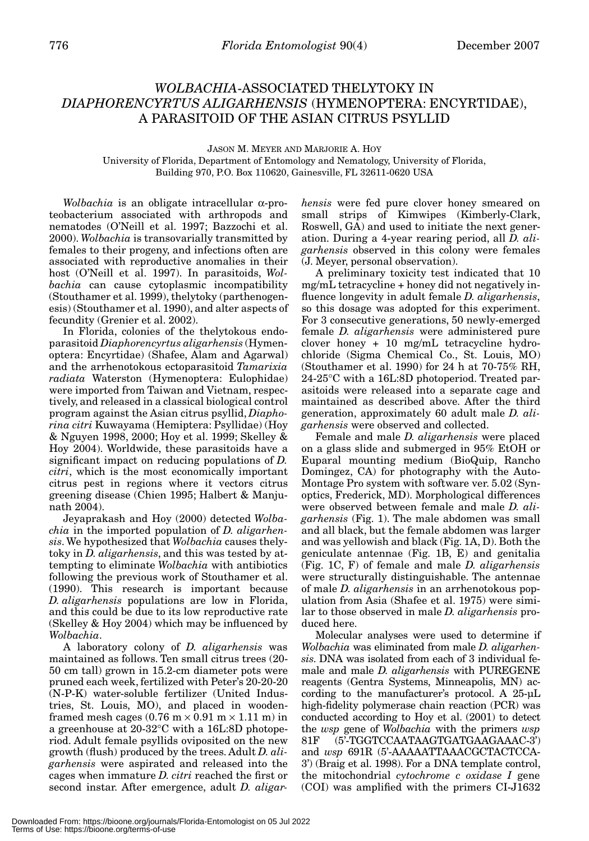## *WOLBACHIA*-ASSOCIATED THELYTOKY IN *DIAPHORENCYRTUS ALIGARHENSIS* (HYMENOPTERA: ENCYRTIDAE), A PARASITOID OF THE ASIAN CITRUS PSYLLID

JASON M. MEYER AND MARJORIE A. HOY University of Florida, Department of Entomology and Nematology, University of Florida, Building 970, P.O. Box 110620, Gainesville, FL 32611-0620 USA

*Wolbachia* is an obligate intracellular α-proteobacterium associated with arthropods and nematodes (O'Neill et al. 1997; Bazzochi et al. 2000). *Wolbachia* is transovarially transmitted by females to their progeny, and infections often are associated with reproductive anomalies in their host (O'Neill et al. 1997). In parasitoids, *Wolbachia* can cause cytoplasmic incompatibility (Stouthamer et al. 1999), thelytoky (parthenogenesis) (Stouthamer et al. 1990), and alter aspects of fecundity (Grenier et al. 2002).

In Florida, colonies of the thelytokous endoparasitoid *Diaphorencyrtus aligarhensis* (Hymenoptera: Encyrtidae) (Shafee, Alam and Agarwal) and the arrhenotokous ectoparasitoid *Tamarixia radiata* Waterston (Hymenoptera: Eulophidae) were imported from Taiwan and Vietnam, respectively, and released in a classical biological control program against the Asian citrus psyllid, *Diaphorina citri* Kuwayama (Hemiptera: Psyllidae) (Hoy & Nguyen 1998, 2000; Hoy et al. 1999; Skelley & Hoy 2004). Worldwide, these parasitoids have a significant impact on reducing populations of *D. citri*, which is the most economically important citrus pest in regions where it vectors citrus greening disease (Chien 1995; Halbert & Manjunath 2004).

Jeyaprakash and Hoy (2000) detected *Wolbachia* in the imported population of *D. aligarhensis*. We hypothesized that *Wolbachia* causes thelytoky in *D. aligarhensis*, and this was tested by attempting to eliminate *Wolbachia* with antibiotics following the previous work of Stouthamer et al. (1990). This research is important because *D. aligarhensis* populations are low in Florida, and this could be due to its low reproductive rate (Skelley & Hoy 2004) which may be influenced by *Wolbachia*.

A laboratory colony of *D. aligarhensis* was maintained as follows. Ten small citrus trees (20- 50 cm tall) grown in 15.2-cm diameter pots were pruned each week, fertilized with Peter's 20-20-20 (N-P-K) water-soluble fertilizer (United Industries, St. Louis, MO), and placed in woodenframed mesh cages  $(0.76 \text{ m} \times 0.91 \text{ m} \times 1.11 \text{ m})$  in a greenhouse at 20-32°C with a 16L:8D photoperiod. Adult female psyllids oviposited on the new growth (flush) produced by the trees. Adult *D. aligarhensis* were aspirated and released into the cages when immature *D. citri* reached the first or second instar. After emergence, adult *D. aligar-* *hensis* were fed pure clover honey smeared on small strips of Kimwipes (Kimberly-Clark, Roswell, GA) and used to initiate the next generation. During a 4-year rearing period, all *D. aligarhensis* observed in this colony were females (J. Meyer, personal observation).

A preliminary toxicity test indicated that 10 mg/mL tetracycline + honey did not negatively influence longevity in adult female *D. aligarhensis*, so this dosage was adopted for this experiment. For 3 consecutive generations, 50 newly-emerged female *D. aligarhensis* were administered pure clover honey + 10 mg/mL tetracycline hydrochloride (Sigma Chemical Co., St. Louis, MO) (Stouthamer et al. 1990) for 24 h at 70-75% RH, 24-25°C with a 16L:8D photoperiod. Treated parasitoids were released into a separate cage and maintained as described above. After the third generation, approximately 60 adult male *D. aligarhensis* were observed and collected.

Female and male *D. aligarhensis* were placed on a glass slide and submerged in 95% EtOH or Euparal mounting medium (BioQuip, Rancho Domingez, CA) for photography with the Auto-Montage Pro system with software ver. 5.02 (Synoptics, Frederick, MD). Morphological differences were observed between female and male *D. aligarhensis* (Fig. 1). The male abdomen was small and all black, but the female abdomen was larger and was yellowish and black (Fig. 1A, D). Both the geniculate antennae (Fig. 1B, E) and genitalia (Fig. 1C, F) of female and male *D. aligarhensis* were structurally distinguishable. The antennae of male *D. aligarhensis* in an arrhenotokous population from Asia (Shafee et al. 1975) were similar to those observed in male *D. aligarhensis* produced here.

Molecular analyses were used to determine if *Wolbachia* was eliminated from male *D. aligarhensis*. DNA was isolated from each of 3 individual female and male *D. aligarhensis* with PUREGENE reagents (Gentra Systems, Minneapolis, MN) according to the manufacturer's protocol. A 25-µL high-fidelity polymerase chain reaction (PCR) was conducted according to Hoy et al. (2001) to detect the *wsp* gene of *Wolbachia* with the primers *wsp* 81F (5'-TGGTCCAATAAGTGATGAAGAAAC-3') and *wsp* 691R (5'-AAAAATTAAACGCTACTCCA-3') (Braig et al. 1998). For a DNA template control, the mitochondrial *cytochrome c oxidase I* gene (COI) was amplified with the primers CI-J1632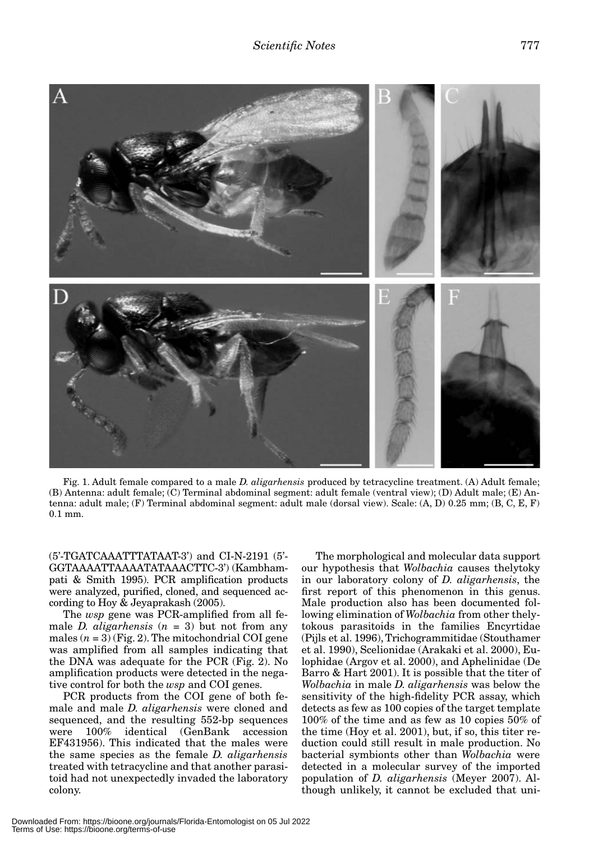

Fig. 1. Adult female compared to a male *D. aligarhensis* produced by tetracycline treatment. (A) Adult female; (B) Antenna: adult female; (C) Terminal abdominal segment: adult female (ventral view); (D) Adult male; (E) Antenna: adult male; (F) Terminal abdominal segment: adult male (dorsal view). Scale: (A, D) 0.25 mm; (B, C, E, F) 0.1 mm.

(5'-TGATCAAATTTATAAT-3') and CI-N-2191 (5'- GGTAAAATTAAAATATAAACTTC-3') (Kambhampati & Smith 1995). PCR amplification products were analyzed, purified, cloned, and sequenced according to Hoy & Jeyaprakash (2005).

The *wsp* gene was PCR-amplified from all female *D. aligarhensis*  $(n = 3)$  but not from any males  $(n = 3)$  (Fig. 2). The mitochondrial COI gene was amplified from all samples indicating that the DNA was adequate for the PCR (Fig. 2). No amplification products were detected in the negative control for both the *wsp* and COI genes.

PCR products from the COI gene of both female and male *D. aligarhensis* were cloned and sequenced, and the resulting 552-bp sequences were 100% identical (GenBank accession EF431956). This indicated that the males were the same species as the female *D. aligarhensis* treated with tetracycline and that another parasitoid had not unexpectedly invaded the laboratory colony.

The morphological and molecular data support our hypothesis that *Wolbachia* causes thelytoky in our laboratory colony of *D. aligarhensis*, the first report of this phenomenon in this genus. Male production also has been documented following elimination of *Wolbachia* from other thelytokous parasitoids in the families Encyrtidae (Pijls et al. 1996), Trichogrammitidae (Stouthamer et al. 1990), Scelionidae (Arakaki et al. 2000), Eulophidae (Argov et al. 2000), and Aphelinidae (De Barro & Hart 2001). It is possible that the titer of *Wolbachia* in male *D. aligarhensis* was below the sensitivity of the high-fidelity PCR assay, which detects as few as 100 copies of the target template 100% of the time and as few as 10 copies 50% of the time (Hoy et al. 2001), but, if so, this titer reduction could still result in male production. No bacterial symbionts other than *Wolbachia* were detected in a molecular survey of the imported population of *D. aligarhensis* (Meyer 2007). Although unlikely, it cannot be excluded that uni-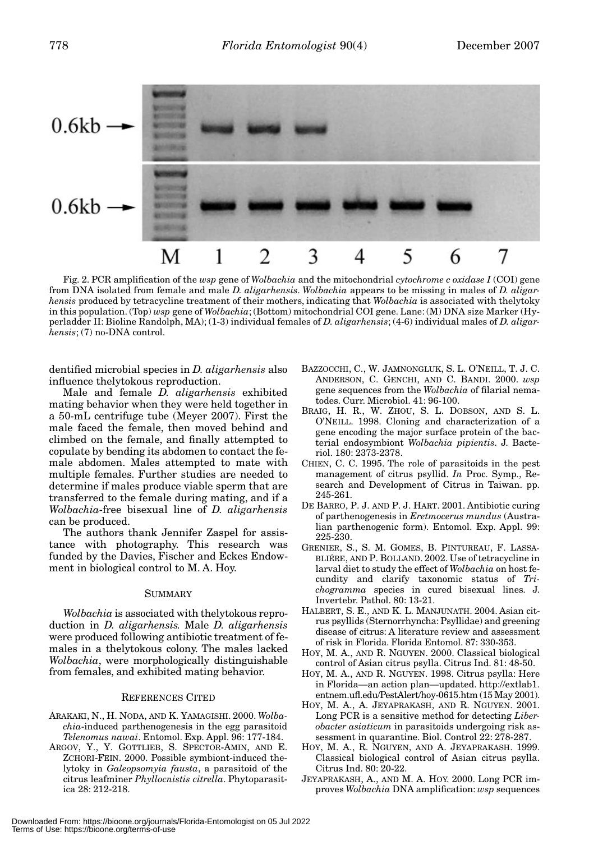

Fig. 2. PCR amplification of the *wsp* gene of *Wolbachia* and the mitochondrial *cytochrome c oxidase I* (COI) gene from DNA isolated from female and male *D. aligarhensis*. *Wolbachia* appears to be missing in males of *D. aligarhensis* produced by tetracycline treatment of their mothers, indicating that *Wolbachia* is associated with thelytoky in this population. (Top) *wsp* gene of *Wolbachia*; (Bottom) mitochondrial COI gene. Lane: (M) DNA size Marker (Hyperladder II: Bioline Randolph, MA); (1-3) individual females of *D. aligarhensis*; (4-6) individual males of *D. aligarhensis*; (7) no-DNA control.

dentified microbial species in *D. aligarhensis* also influence thelytokous reproduction.

Male and female *D. aligarhensis* exhibited mating behavior when they were held together in a 50-mL centrifuge tube (Meyer 2007). First the male faced the female, then moved behind and climbed on the female, and finally attempted to copulate by bending its abdomen to contact the female abdomen. Males attempted to mate with multiple females. Further studies are needed to determine if males produce viable sperm that are transferred to the female during mating, and if a *Wolbachia*-free bisexual line of *D. aligarhensis* can be produced.

The authors thank Jennifer Zaspel for assistance with photography. This research was funded by the Davies, Fischer and Eckes Endowment in biological control to M. A. Hoy.

## SUMMARY

*Wolbachia* is associated with thelytokous reproduction in *D. aligarhensis.* Male *D. aligarhensis* were produced following antibiotic treatment of females in a thelytokous colony. The males lacked *Wolbachia*, were morphologically distinguishable from females, and exhibited mating behavior.

## REFERENCES CITED

- ARAKAKI, N., H. NODA, AND K. YAMAGISHI. 2000. *Wolbachia*-induced parthenogenesis in the egg parasitoid *Telenomus nawai*. Entomol. Exp. Appl. 96: 177-184.
- ARGOV, Y., Y. GOTTLIEB, S. SPECTOR-AMIN, AND E. ZCHORI-FEIN. 2000. Possible symbiont-induced thelytoky in *Galeopsomyia fausta*, a parasitoid of the citrus leafminer *Phyllocnistis citrella*. Phytoparasitica 28: 212-218.
- BAZZOCCHI, C., W. JAMNONGLUK, S. L. O'NEILL, T. J. C. ANDERSON, C. GENCHI, AND C. BANDI. 2000. *wsp* gene sequences from the *Wolbachia* of filarial nematodes. Curr. Microbiol. 41: 96-100.
- BRAIG, H. R., W. ZHOU, S. L. DOBSON, AND S. L. O'NEILL. 1998. Cloning and characterization of a gene encoding the major surface protein of the bacterial endosymbiont *Wolbachia pipientis*. J. Bacteriol. 180: 2373-2378.
- CHIEN, C. C. 1995. The role of parasitoids in the pest management of citrus psyllid. *In* Proc. Symp., Research and Development of Citrus in Taiwan. pp. 245-261.
- DE BARRO, P. J. AND P. J. HART. 2001. Antibiotic curing of parthenogenesis in *Eretmocerus mundus* (Australian parthenogenic form). Entomol. Exp. Appl. 99: 225-230.
- GRENIER, S., S. M. GOMES, B. PINTUREAU, F. LASSA-BLIÉRE, AND P. BOLLAND. 2002. Use of tetracycline in larval diet to study the effect of *Wolbachia* on host fecundity and clarify taxonomic status of *Trichogramma* species in cured bisexual lines. J. Invertebr. Pathol. 80: 13-21.
- HALBERT, S. E., AND K. L. MANJUNATH. 2004. Asian citrus psyllids (Sternorrhyncha: Psyllidae) and greening disease of citrus: A literature review and assessment of risk in Florida. Florida Entomol. 87: 330-353.
- HOY, M. A., AND R. NGUYEN. 2000. Classical biological control of Asian citrus psylla. Citrus Ind. 81: 48-50.
- HOY, M. A., AND R. NGUYEN. 1998. Citrus psylla: Here in Florida—an action plan—updated. http://extlab1. entnem.ufl.edu/PestAlert/hoy-0615.htm (15 May 2001).
- HOY, M. A., A. JEYAPRAKASH, AND R. NGUYEN. 2001. Long PCR is a sensitive method for detecting *Liberobacter asiaticum* in parasitoids undergoing risk assessment in quarantine. Biol. Control 22: 278-287.
- HOY, M. A., R. NGUYEN, AND A. JEYAPRAKASH. 1999. Classical biological control of Asian citrus psylla. Citrus Ind. 80: 20-22.
- JEYAPRAKASH, A., AND M. A. HOY. 2000. Long PCR improves *Wolbachia* DNA amplification: *wsp* sequences